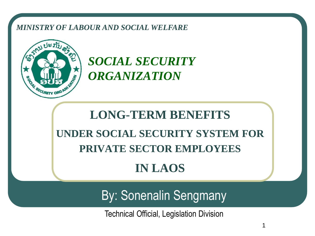#### *MINISTRY OF LABOUR AND SOCIAL WELFARE*



*SOCIAL SECURITY ORGANIZATION*

## **LONG-TERM BENEFITS UNDER SOCIAL SECURITY SYSTEM FOR PRIVATE SECTOR EMPLOYEES IN LAOS**

By: Sonenalin Sengmany

Technical Official, Legislation Division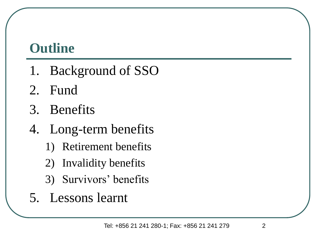## **Outline**

- 1. Background of SSO
- 2. Fund
- 3. Benefits
- 4. Long-term benefits
	- 1) Retirement benefits
	- 2) Invalidity benefits
	- 3) Survivors' benefits
- 5. Lessons learnt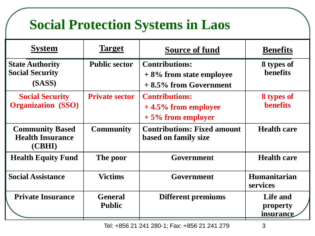## **Social Protection Systems in Laos**

| <b>System</b>                                               | <b>Target</b>                   | <b>Source of fund</b>                                                           | <b>Benefits</b>                        |
|-------------------------------------------------------------|---------------------------------|---------------------------------------------------------------------------------|----------------------------------------|
| <b>State Authority</b><br><b>Social Security</b><br>(SASS)  | <b>Public sector</b>            | <b>Contributions:</b><br>$+8\%$ from state employee<br>$+8.5\%$ from Government | 8 types of<br>benefits                 |
| <b>Social Security</b><br><b>Organization</b> (SSO)         | <b>Private sector</b>           | <b>Contributions:</b><br>$+4.5\%$ from employee<br>$+5\%$ from employer         | 8 types of<br><b>benefits</b>          |
| <b>Community Based</b><br><b>Health Insurance</b><br>(CBHI) | <b>Community</b>                | <b>Contributions: Fixed amount</b><br>based on family size                      | <b>Health care</b>                     |
| <b>Health Equity Fund</b>                                   | The poor                        | Government                                                                      | <b>Health care</b>                     |
| <b>Social Assistance</b>                                    | <b>Victims</b>                  | Government                                                                      | <b>Humanitarian</b><br><b>services</b> |
| <b>Private Insurance</b>                                    | <b>General</b><br><b>Public</b> | <b>Different premiums</b>                                                       | Life and<br>property<br>insurance      |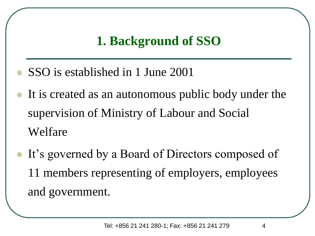#### **1. Background of SSO**

- ⚫ SSO is established in 1 June 2001
- It is created as an autonomous public body under the supervision of Ministry of Labour and Social Welfare
- It's governed by a Board of Directors composed of 11 members representing of employers, employees and government.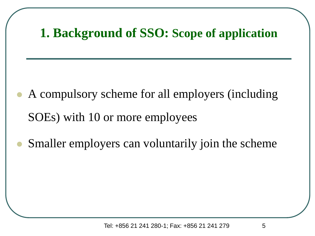#### **1. Background of SSO: Scope of application**

- ⚫ A compulsory scheme for all employers (including SOEs) with 10 or more employees
- ⚫ Smaller employers can voluntarily join the scheme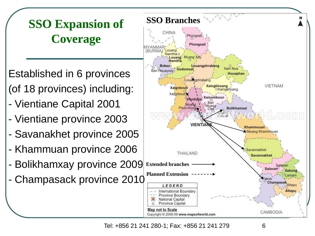**SSO Branches SSO Expansion of Coverage**

Established in 6 provinces (of 18 provinces) including:

- Vientiane Capital 2001
- Vientiane province 2003
- Savanakhet province 2005
- Khammuan province 2006
- Bolikhamxay province 2009
- Champasack province 2010



Tel: +856 21 241 280-1; Fax: +856 21 241 279 6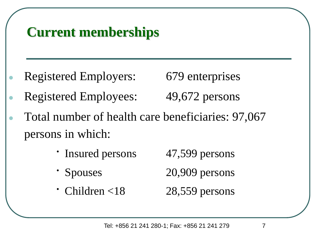## **Current memberships**

Registered Employers: 679 enterprises

- Registered Employees: 49,672 persons
- Total number of health care beneficiaries: 97,067 persons in which:
	- Insured persons 47,599 persons
	- ∙ Spouses 20,909 persons
	- ∙ Children <18 28,559 persons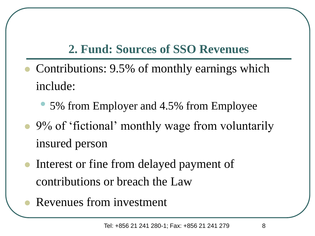#### **2. Fund: Sources of SSO Revenues**

- ⚫ Contributions: 9.5% of monthly earnings which include:
	- 5% from Employer and 4.5% from Employee
- ⚫ 9% of 'fictional' monthly wage from voluntarily insured person
- Interest or fine from delayed payment of contributions or breach the Law
- ⚫ Revenues from investment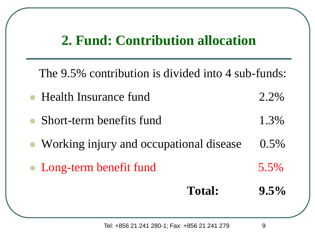#### **2. Fund: Contribution allocation**

The 9.5% contribution is divided into 4 sub-funds:

- Health Insurance fund 2.2%
- Short-term benefits fund 1.3%
- Working injury and occupational disease 0.5%
- Long-term benefit fund 5.5%

**Total: 9.5%**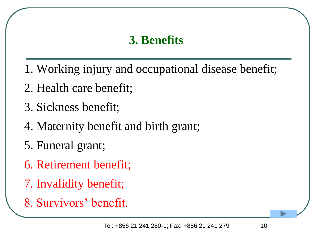#### **3. Benefits**

- 1. Working injury and occupational disease benefit;
- 2. Health care benefit;
- 3. Sickness benefit;
- 4. Maternity benefit and birth grant;
- 5. Funeral grant;
- 6. Retirement benefit;
- 7. Invalidity benefit;
- 8. Survivors' benefit.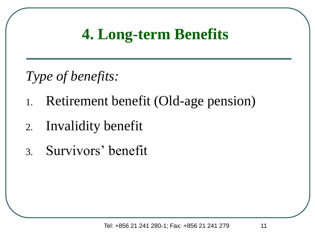## **4. Long-term Benefits**

*Type of benefits:*

- 1. Retirement benefit (Old-age pension)
- 2. Invalidity benefit
- 3. Survivors' benefit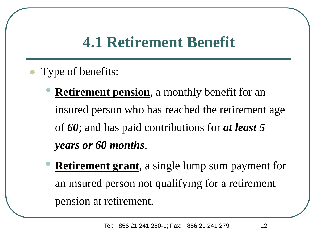## **4.1 Retirement Benefit**

- ⚫ Type of benefits:
	- **Retirement pension**, a monthly benefit for an insured person who has reached the retirement age of *60*; and has paid contributions for *at least 5 years or 60 months*.
	- **Retirement grant**, a single lump sum payment for an insured person not qualifying for a retirement pension at retirement.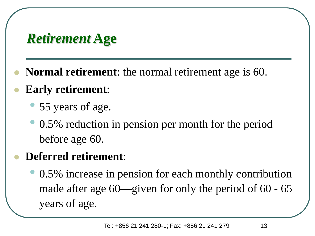## *Retirement* **Age**

- ⚫ **Normal retirement**: the normal retirement age is 60.
- ⚫ **Early retirement**:
	- 55 years of age.
	- 0.5% reduction in pension per month for the period before age 60.

#### ⚫ **Deferred retirement**:

• 0.5% increase in pension for each monthly contribution made after age 60—given for only the period of 60 - 65 years of age.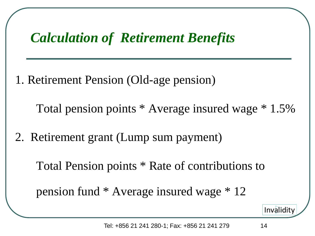### *Calculation of Retirement Benefits*

1. Retirement Pension (Old-age pension)

Total pension points \* Average insured wage \* 1.5%

2. Retirement grant (Lump sum payment)

Total Pension points \* Rate of contributions to

pension fund \* Average insured wage \* 12

[Invalidity](#page-16-0)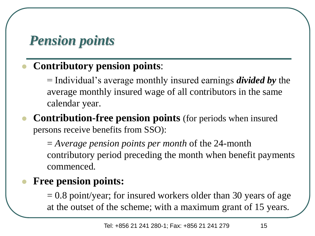## *Pension points*

#### ⚫ **Contributory pension points**:

= Individual's average monthly insured earnings *divided by* the average monthly insured wage of all contributors in the same calendar year.

#### ⚫ **Contribution-free pension points** (for periods when insured persons receive benefits from SSO):

= *Average pension points per month* of the 24-month contributory period preceding the month when benefit payments commenced.

#### ⚫ **Free pension points:**

 $= 0.8$  point/year; for insured workers older than 30 years of age at the outset of the scheme; with a maximum grant of 15 years.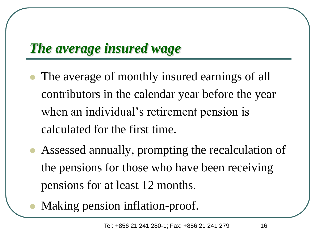## *The average insured wage*

- The average of monthly insured earnings of all contributors in the calendar year before the year when an individual's retirement pension is calculated for the first time.
- ⚫ Assessed annually, prompting the recalculation of the pensions for those who have been receiving pensions for at least 12 months.
- ⚫ Making pension inflation-proof.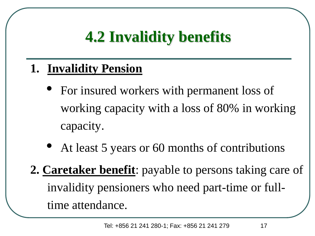# **4.2 Invalidity benefits**

#### <span id="page-16-0"></span>**1. Invalidity Pension**

- For insured workers with permanent loss of working capacity with a loss of 80% in working capacity.
- At least 5 years or 60 months of contributions
- **2. Caretaker benefit**: payable to persons taking care of invalidity pensioners who need part-time or fulltime attendance.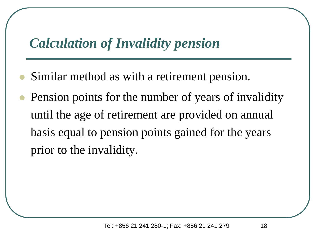## *Calculation of Invalidity pension*

- ⚫ Similar method as with a retirement pension.
- ⚫ Pension points for the number of years of invalidity until the age of retirement are provided on annual basis equal to pension points gained for the years prior to the invalidity.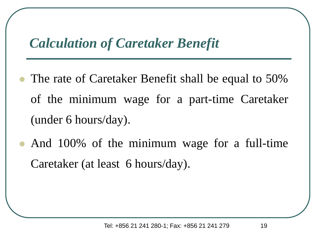### *Calculation of Caretaker Benefit*

- The rate of Caretaker Benefit shall be equal to 50% of the minimum wage for a part-time Caretaker (under 6 hours/day).
- ⚫ And 100% of the minimum wage for a full-time Caretaker (at least 6 hours/day).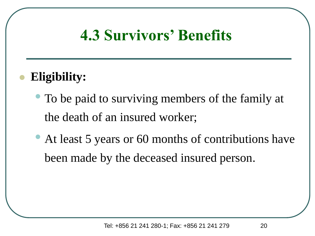## **4.3 Survivors' Benefits**

#### ⚫ **Eligibility:**

- To be paid to surviving members of the family at the death of an insured worker;
- At least 5 years or 60 months of contributions have been made by the deceased insured person.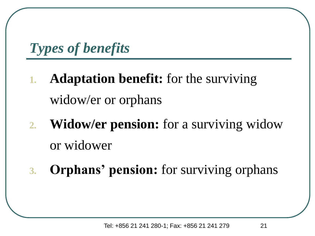*Types of benefits*

- **1. Adaptation benefit:** for the surviving widow/er or orphans
- **2. Widow/er pension:** for a surviving widow or widower
- **3. Orphans' pension:** for surviving orphans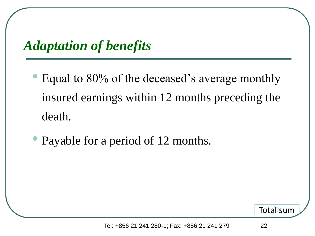*Adaptation of benefits*

- Equal to 80% of the deceased's average monthly insured earnings within 12 months preceding the death.
- Payable for a period of 12 months.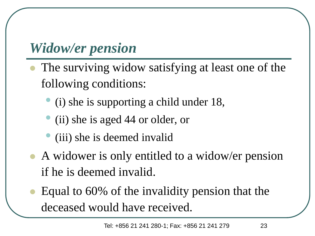## *Widow/er pension*

- ⚫ The surviving widow satisfying at least one of the following conditions:
	- (i) she is supporting a child under 18,
	- (ii) she is aged 44 or older, or
	- (iii) she is deemed invalid
- ⚫ A widower is only entitled to a widow/er pension if he is deemed invalid.
- Equal to 60% of the invalidity pension that the deceased would have received.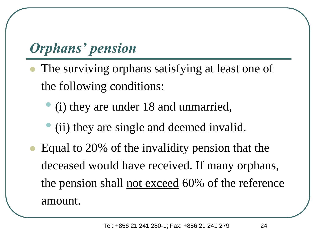## *Orphans' pension*

- The surviving orphans satisfying at least one of the following conditions:
	- (i) they are under 18 and unmarried,
	- (ii) they are single and deemed invalid.
- Equal to 20% of the invalidity pension that the deceased would have received. If many orphans, the pension shall not exceed 60% of the reference amount.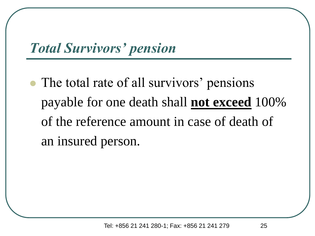## <span id="page-24-0"></span>*Total Survivors' pension*

⚫ The total rate of all survivors' pensions payable for one death shall **not exceed** 100% of the reference amount in case of death of an insured person.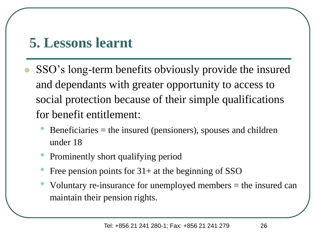## **5. Lessons learnt**

- ⚫ SSO's long-term benefits obviously provide the insured and dependants with greater opportunity to access to social protection because of their simple qualifications for benefit entitlement:
	- $B$ eneficiaries = the insured (pensioners), spouses and children under 18
	- Prominently short qualifying period
	- Free pension points for  $31+$  at the beginning of SSO
	- Voluntary re-insurance for unemployed members = the insured can maintain their pension rights.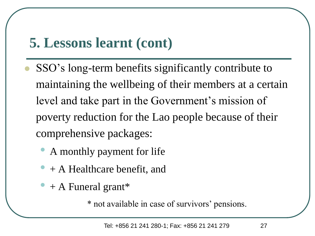## **5. Lessons learnt (cont)**

- ⚫ SSO's long-term benefits significantly contribute to maintaining the wellbeing of their members at a certain level and take part in the Government's mission of poverty reduction for the Lao people because of their comprehensive packages:
	- A monthly payment for life
	- $+$  A Healthcare benefit, and
	- $+$  A Funeral grant\*

\* not available in case of survivors' pensions.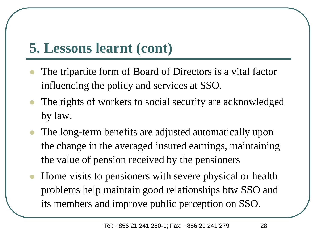## **5. Lessons learnt (cont)**

- ⚫ The tripartite form of Board of Directors is a vital factor influencing the policy and services at SSO.
- ⚫ The rights of workers to social security are acknowledged by law.
- ⚫ The long-term benefits are adjusted automatically upon the change in the averaged insured earnings, maintaining the value of pension received by the pensioners
- ⚫ Home visits to pensioners with severe physical or health problems help maintain good relationships btw SSO and its members and improve public perception on SSO.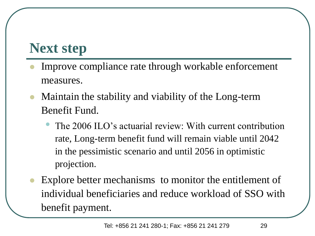## **Next step**

- ⚫ Improve compliance rate through workable enforcement measures.
- ⚫ Maintain the stability and viability of the Long-term Benefit Fund.
	- The 2006 ILO's actuarial review: With current contribution rate, Long-term benefit fund will remain viable until 2042 in the pessimistic scenario and until 2056 in optimistic projection.
- Explore better mechanisms to monitor the entitlement of individual beneficiaries and reduce workload of SSO with benefit payment.